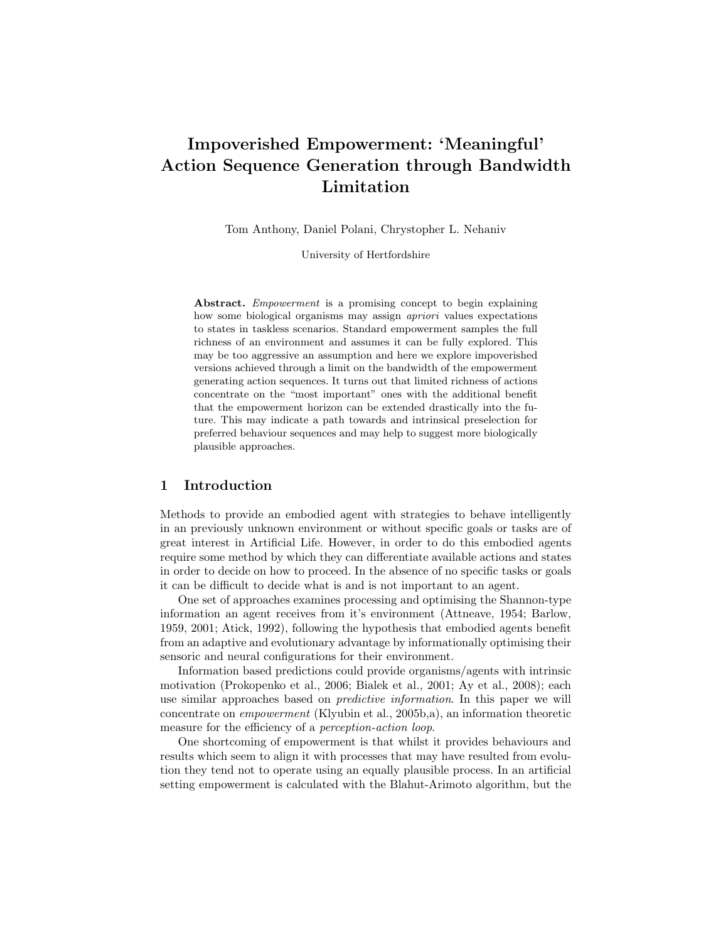# Impoverished Empowerment: 'Meaningful' Action Sequence Generation through Bandwidth Limitation

Tom Anthony, Daniel Polani, Chrystopher L. Nehaniv

University of Hertfordshire

Abstract. *Empowerment* is a promising concept to begin explaining how some biological organisms may assign *apriori* values expectations to states in taskless scenarios. Standard empowerment samples the full richness of an environment and assumes it can be fully explored. This may be too aggressive an assumption and here we explore impoverished versions achieved through a limit on the bandwidth of the empowerment generating action sequences. It turns out that limited richness of actions concentrate on the "most important" ones with the additional benefit that the empowerment horizon can be extended drastically into the future. This may indicate a path towards and intrinsical preselection for preferred behaviour sequences and may help to suggest more biologically plausible approaches.

## 1 Introduction

Methods to provide an embodied agent with strategies to behave intelligently in an previously unknown environment or without specific goals or tasks are of great interest in Artificial Life. However, in order to do this embodied agents require some method by which they can differentiate available actions and states in order to decide on how to proceed. In the absence of no specific tasks or goals it can be difficult to decide what is and is not important to an agent.

One set of approaches examines processing and optimising the Shannon-type information an agent receives from it's environment (Attneave, 1954; Barlow, 1959, 2001; Atick, 1992), following the hypothesis that embodied agents benefit from an adaptive and evolutionary advantage by informationally optimising their sensoric and neural configurations for their environment.

Information based predictions could provide organisms/agents with intrinsic motivation (Prokopenko et al., 2006; Bialek et al., 2001; Ay et al., 2008); each use similar approaches based on predictive information. In this paper we will concentrate on empowerment (Klyubin et al., 2005b,a), an information theoretic measure for the efficiency of a *perception-action loop*.

One shortcoming of empowerment is that whilst it provides behaviours and results which seem to align it with processes that may have resulted from evolution they tend not to operate using an equally plausible process. In an artificial setting empowerment is calculated with the Blahut-Arimoto algorithm, but the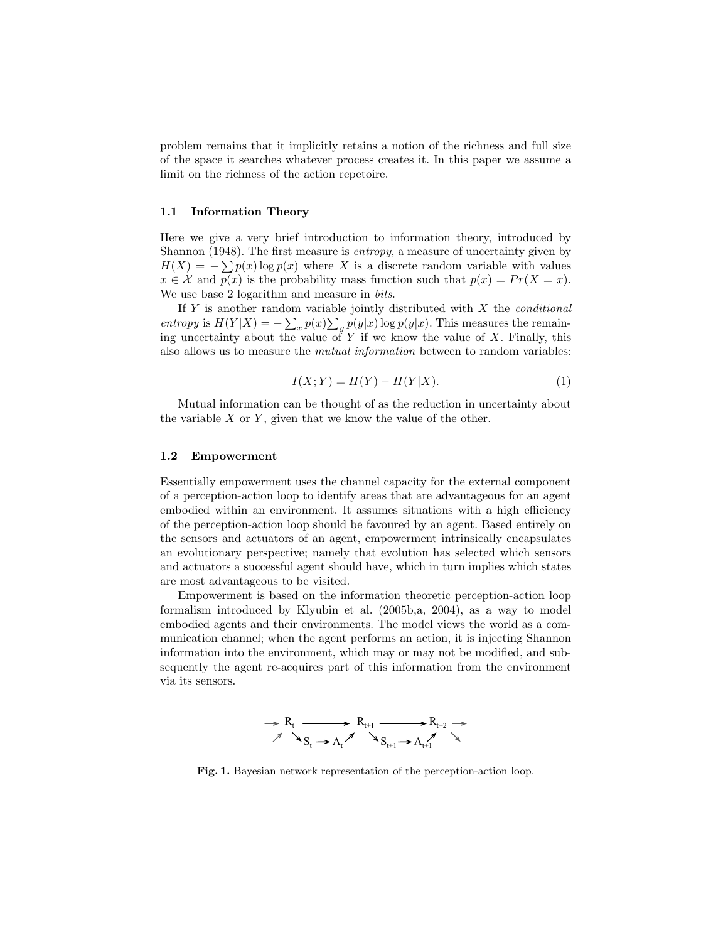problem remains that it implicitly retains a notion of the richness and full size of the space it searches whatever process creates it. In this paper we assume a limit on the richness of the action repetoire.

#### 1.1 Information Theory

Here we give a very brief introduction to information theory, introduced by Shannon (1948). The first measure is *entropy*, a measure of uncertainty given by  $H(X) = -\sum p(x) \log p(x)$  where X is a discrete random variable with values  $x \in \mathcal{X}$  and  $p(x)$  is the probability mass function such that  $p(x) = Pr(X = x)$ . We use base 2 logarithm and measure in *bits*.

If  $Y$  is another random variable jointly distributed with  $X$  the *conditional* entropy is  $H(Y|X) = -\sum_{x} p(x) \sum_{y} p(y|x) \log p(y|x)$ . This measures the remaining uncertainty about the value of Y if we know the value of X. Finally, this also allows us to measure the mutual information between to random variables:

$$
I(X;Y) = H(Y) - H(Y|X).
$$
 (1)

Mutual information can be thought of as the reduction in uncertainty about the variable  $X$  or  $Y$ , given that we know the value of the other.

#### 1.2 Empowerment

Essentially empowerment uses the channel capacity for the external component of a perception-action loop to identify areas that are advantageous for an agent embodied within an environment. It assumes situations with a high efficiency of the perception-action loop should be favoured by an agent. Based entirely on the sensors and actuators of an agent, empowerment intrinsically encapsulates an evolutionary perspective; namely that evolution has selected which sensors and actuators a successful agent should have, which in turn implies which states are most advantageous to be visited.

Empowerment is based on the information theoretic perception-action loop formalism introduced by Klyubin et al. (2005b,a, 2004), as a way to model embodied agents and their environments. The model views the world as a communication channel; when the agent performs an action, it is injecting Shannon information into the environment, which may or may not be modified, and subsequently the agent re-acquires part of this information from the environment via its sensors.



Fig. 1. Bayesian network representation of the perception-action loop.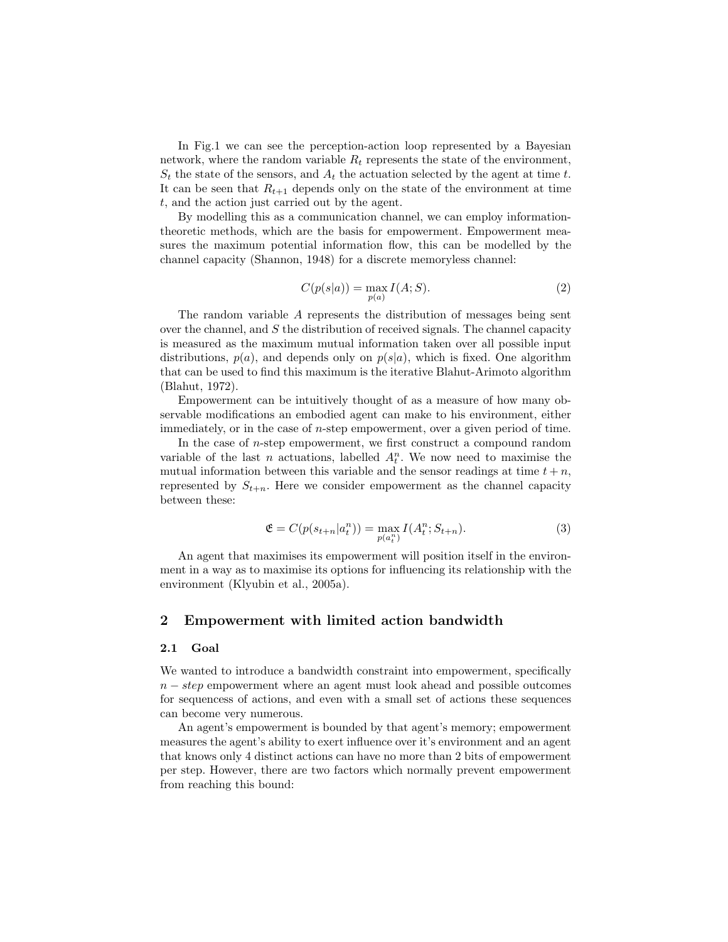In Fig.1 we can see the perception-action loop represented by a Bayesian network, where the random variable  $R_t$  represents the state of the environment,  $S_t$  the state of the sensors, and  $A_t$  the actuation selected by the agent at time t. It can be seen that  $R_{t+1}$  depends only on the state of the environment at time t, and the action just carried out by the agent.

By modelling this as a communication channel, we can employ informationtheoretic methods, which are the basis for empowerment. Empowerment measures the maximum potential information flow, this can be modelled by the channel capacity (Shannon, 1948) for a discrete memoryless channel:

$$
C(p(s|a)) = \max_{p(a)} I(A;S).
$$
 (2)

The random variable A represents the distribution of messages being sent over the channel, and  $S$  the distribution of received signals. The channel capacity is measured as the maximum mutual information taken over all possible input distributions,  $p(a)$ , and depends only on  $p(s|a)$ , which is fixed. One algorithm that can be used to find this maximum is the iterative Blahut-Arimoto algorithm (Blahut, 1972).

Empowerment can be intuitively thought of as a measure of how many observable modifications an embodied agent can make to his environment, either immediately, or in the case of n-step empowerment, over a given period of time.

In the case of n-step empowerment, we first construct a compound random variable of the last n actuations, labelled  $A_t^n$ . We now need to maximise the mutual information between this variable and the sensor readings at time  $t + n$ , represented by  $S_{t+n}$ . Here we consider empowerment as the channel capacity between these:

$$
\mathfrak{E} = C(p(s_{t+n}|a_t^n)) = \max_{p(a_t^n)} I(A_t^n; S_{t+n}).
$$
\n(3)

An agent that maximises its empowerment will position itself in the environment in a way as to maximise its options for influencing its relationship with the environment (Klyubin et al., 2005a).

## 2 Empowerment with limited action bandwidth

#### 2.1 Goal

We wanted to introduce a bandwidth constraint into empowerment, specifically  $n - step$  empowerment where an agent must look ahead and possible outcomes for sequencess of actions, and even with a small set of actions these sequences can become very numerous.

An agent's empowerment is bounded by that agent's memory; empowerment measures the agent's ability to exert influence over it's environment and an agent that knows only 4 distinct actions can have no more than 2 bits of empowerment per step. However, there are two factors which normally prevent empowerment from reaching this bound: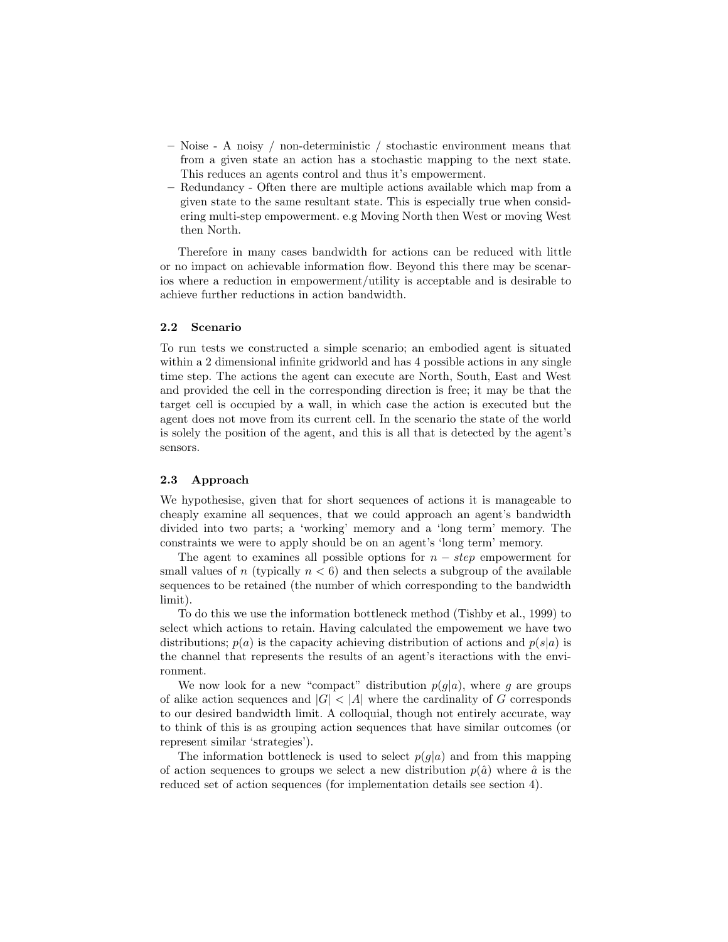- Noise A noisy / non-deterministic / stochastic environment means that from a given state an action has a stochastic mapping to the next state. This reduces an agents control and thus it's empowerment.
- Redundancy Often there are multiple actions available which map from a given state to the same resultant state. This is especially true when considering multi-step empowerment. e.g Moving North then West or moving West then North.

Therefore in many cases bandwidth for actions can be reduced with little or no impact on achievable information flow. Beyond this there may be scenarios where a reduction in empowerment/utility is acceptable and is desirable to achieve further reductions in action bandwidth.

### 2.2 Scenario

To run tests we constructed a simple scenario; an embodied agent is situated within a 2 dimensional infinite gridworld and has 4 possible actions in any single time step. The actions the agent can execute are North, South, East and West and provided the cell in the corresponding direction is free; it may be that the target cell is occupied by a wall, in which case the action is executed but the agent does not move from its current cell. In the scenario the state of the world is solely the position of the agent, and this is all that is detected by the agent's sensors.

#### 2.3 Approach

We hypothesise, given that for short sequences of actions it is manageable to cheaply examine all sequences, that we could approach an agent's bandwidth divided into two parts; a 'working' memory and a 'long term' memory. The constraints we were to apply should be on an agent's 'long term' memory.

The agent to examines all possible options for  $n - step$  empowerment for small values of n (typically  $n < 6$ ) and then selects a subgroup of the available sequences to be retained (the number of which corresponding to the bandwidth limit).

To do this we use the information bottleneck method (Tishby et al., 1999) to select which actions to retain. Having calculated the empowement we have two distributions;  $p(a)$  is the capacity achieving distribution of actions and  $p(s|a)$  is the channel that represents the results of an agent's iteractions with the environment.

We now look for a new "compact" distribution  $p(g|a)$ , where g are groups of alike action sequences and  $|G|$  < |A| where the cardinality of G corresponds to our desired bandwidth limit. A colloquial, though not entirely accurate, way to think of this is as grouping action sequences that have similar outcomes (or represent similar 'strategies').

The information bottleneck is used to select  $p(q|a)$  and from this mapping of action sequences to groups we select a new distribution  $p(\hat{a})$  where  $\hat{a}$  is the reduced set of action sequences (for implementation details see section 4).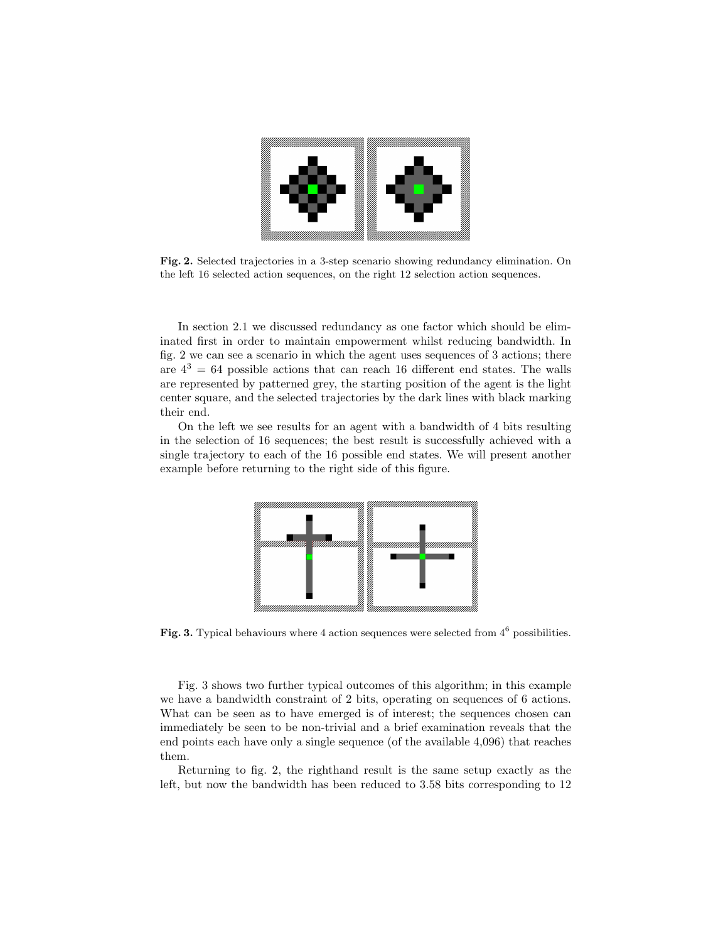

Fig. 2. Selected trajectories in a 3-step scenario showing redundancy elimination. On the left 16 selected action sequences, on the right 12 selection action sequences.

In section 2.1 we discussed redundancy as one factor which should be eliminated first in order to maintain empowerment whilst reducing bandwidth. In fig. 2 we can see a scenario in which the agent uses sequences of 3 actions; there are  $4^3 = 64$  possible actions that can reach 16 different end states. The walls are represented by patterned grey, the starting position of the agent is the light center square, and the selected trajectories by the dark lines with black marking their end.

On the left we see results for an agent with a bandwidth of 4 bits resulting in the selection of 16 sequences; the best result is successfully achieved with a single trajectory to each of the 16 possible end states. We will present another example before returning to the right side of this figure.



Fig. 3. Typical behaviours where 4 action sequences were selected from  $4^6$  possibilities.

Fig. 3 shows two further typical outcomes of this algorithm; in this example we have a bandwidth constraint of 2 bits, operating on sequences of 6 actions. What can be seen as to have emerged is of interest; the sequences chosen can immediately be seen to be non-trivial and a brief examination reveals that the end points each have only a single sequence (of the available 4,096) that reaches them.

Returning to fig. 2, the righthand result is the same setup exactly as the left, but now the bandwidth has been reduced to 3.58 bits corresponding to 12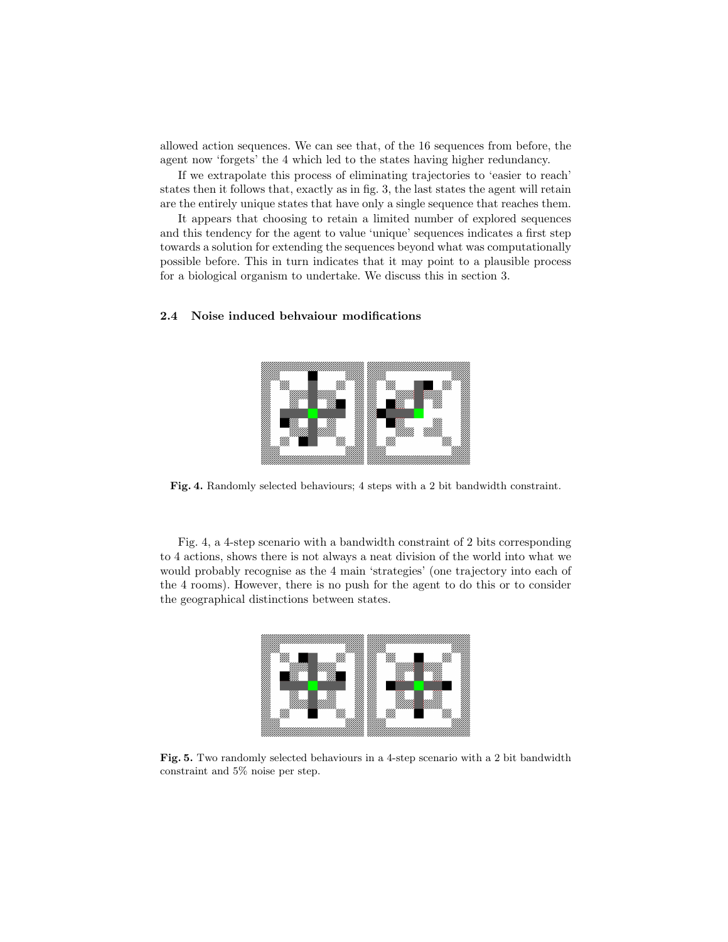allowed action sequences. We can see that, of the 16 sequences from before, the agent now 'forgets' the 4 which led to the states having higher redundancy.

If we extrapolate this process of eliminating trajectories to 'easier to reach' states then it follows that, exactly as in fig. 3, the last states the agent will retain are the entirely unique states that have only a single sequence that reaches them.

It appears that choosing to retain a limited number of explored sequences and this tendency for the agent to value 'unique' sequences indicates a first step towards a solution for extending the sequences beyond what was computationally possible before. This in turn indicates that it may point to a plausible process for a biological organism to undertake. We discuss this in section 3.

#### 2.4 Noise induced behvaiour modifications



Fig. 4. Randomly selected behaviours; 4 steps with a 2 bit bandwidth constraint.

Fig. 4, a 4-step scenario with a bandwidth constraint of 2 bits corresponding to 4 actions, shows there is not always a neat division of the world into what we would probably recognise as the 4 main 'strategies' (one trajectory into each of the 4 rooms). However, there is no push for the agent to do this or to consider the geographical distinctions between states.



Fig. 5. Two randomly selected behaviours in a 4-step scenario with a 2 bit bandwidth constraint and 5% noise per step.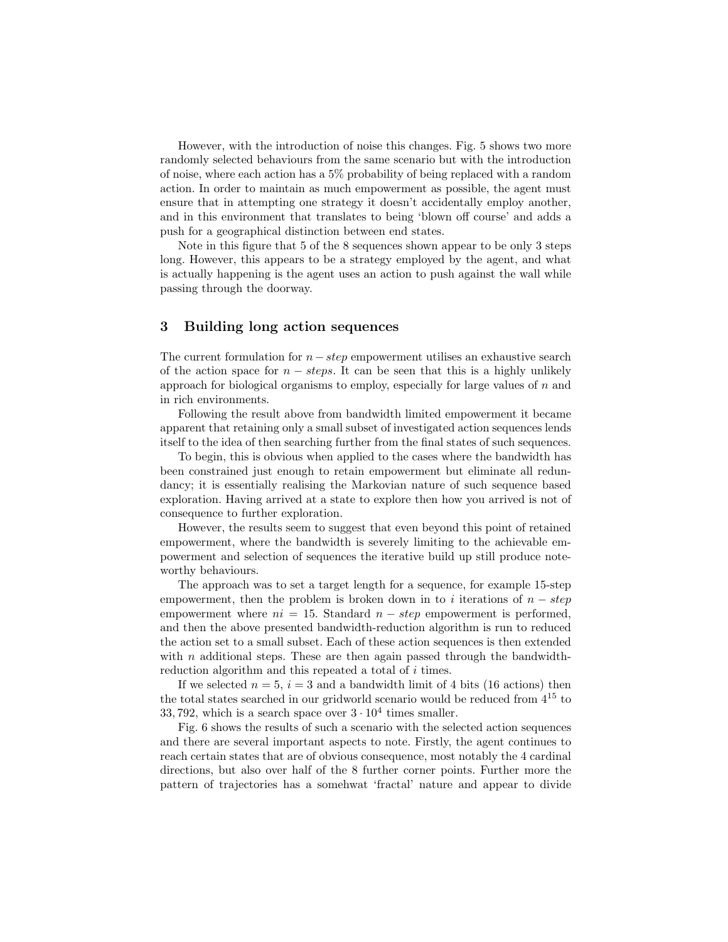However, with the introduction of noise this changes. Fig. 5 shows two more randomly selected behaviours from the same scenario but with the introduction of noise, where each action has a 5% probability of being replaced with a random action. In order to maintain as much empowerment as possible, the agent must ensure that in attempting one strategy it doesn't accidentally employ another, and in this environment that translates to being 'blown off course' and adds a push for a geographical distinction between end states.

Note in this figure that 5 of the 8 sequences shown appear to be only 3 steps long. However, this appears to be a strategy employed by the agent, and what is actually happening is the agent uses an action to push against the wall while passing through the doorway.

## 3 Building long action sequences

The current formulation for  $n-step$  empowerment utilises an exhaustive search of the action space for  $n - steps$ . It can be seen that this is a highly unlikely approach for biological organisms to employ, especially for large values of  $n$  and in rich environments.

Following the result above from bandwidth limited empowerment it became apparent that retaining only a small subset of investigated action sequences lends itself to the idea of then searching further from the final states of such sequences.

To begin, this is obvious when applied to the cases where the bandwidth has been constrained just enough to retain empowerment but eliminate all redundancy; it is essentially realising the Markovian nature of such sequence based exploration. Having arrived at a state to explore then how you arrived is not of consequence to further exploration.

However, the results seem to suggest that even beyond this point of retained empowerment, where the bandwidth is severely limiting to the achievable empowerment and selection of sequences the iterative build up still produce noteworthy behaviours.

The approach was to set a target length for a sequence, for example 15-step empowerment, then the problem is broken down in to i iterations of  $n - step$ empowerment where  $ni = 15$ . Standard  $n - step$  empowerment is performed, and then the above presented bandwidth-reduction algorithm is run to reduced the action set to a small subset. Each of these action sequences is then extended with  $n$  additional steps. These are then again passed through the bandwidthreduction algorithm and this repeated a total of i times.

If we selected  $n = 5$ ,  $i = 3$  and a bandwidth limit of 4 bits (16 actions) then the total states searched in our gridworld scenario would be reduced from 4<sup>15</sup> to 33, 792, which is a search space over  $3 \cdot 10^4$  times smaller.

Fig. 6 shows the results of such a scenario with the selected action sequences and there are several important aspects to note. Firstly, the agent continues to reach certain states that are of obvious consequence, most notably the 4 cardinal directions, but also over half of the 8 further corner points. Further more the pattern of trajectories has a somehwat 'fractal' nature and appear to divide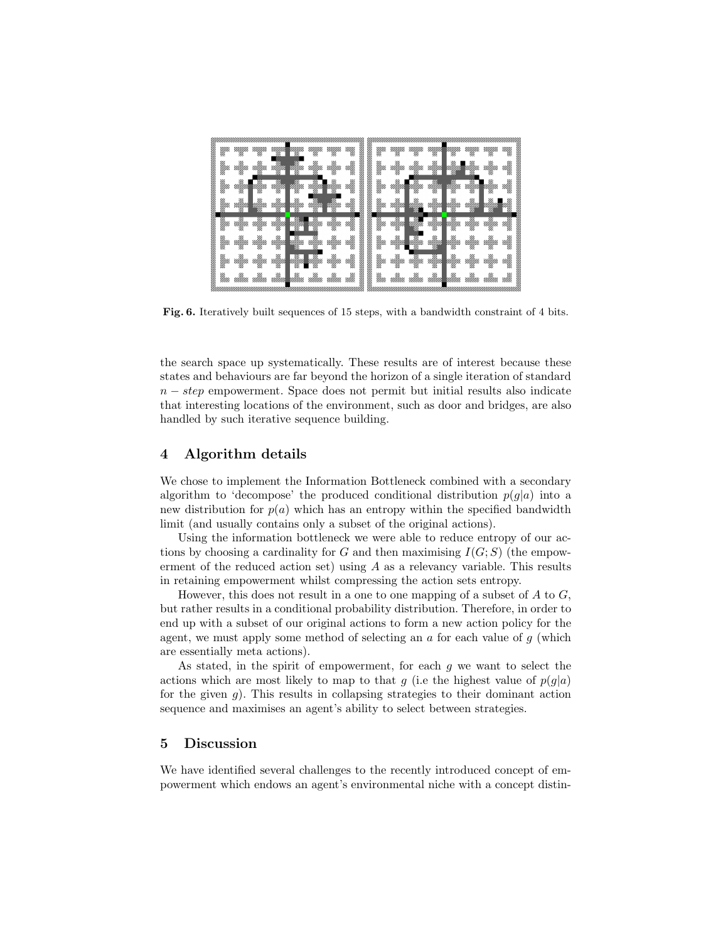

Fig. 6. Iteratively built sequences of 15 steps, with a bandwidth constraint of 4 bits.

the search space up systematically. These results are of interest because these states and behaviours are far beyond the horizon of a single iteration of standard  $n - step$  empowerment. Space does not permit but initial results also indicate that interesting locations of the environment, such as door and bridges, are also handled by such iterative sequence building.

## 4 Algorithm details

We chose to implement the Information Bottleneck combined with a secondary algorithm to 'decompose' the produced conditional distribution  $p(g|a)$  into a new distribution for  $p(a)$  which has an entropy within the specified bandwidth limit (and usually contains only a subset of the original actions).

Using the information bottleneck we were able to reduce entropy of our actions by choosing a cardinality for G and then maximising  $I(G; S)$  (the empowerment of the reduced action set) using A as a relevancy variable. This results in retaining empowerment whilst compressing the action sets entropy.

However, this does not result in a one to one mapping of a subset of  $A$  to  $G$ , but rather results in a conditional probability distribution. Therefore, in order to end up with a subset of our original actions to form a new action policy for the agent, we must apply some method of selecting an  $\alpha$  for each value of  $q$  (which are essentially meta actions).

As stated, in the spirit of empowerment, for each  $g$  we want to select the actions which are most likely to map to that g (i.e the highest value of  $p(g|a)$ ) for the given  $g$ ). This results in collapsing strategies to their dominant action sequence and maximises an agent's ability to select between strategies.

## 5 Discussion

We have identified several challenges to the recently introduced concept of empowerment which endows an agent's environmental niche with a concept distin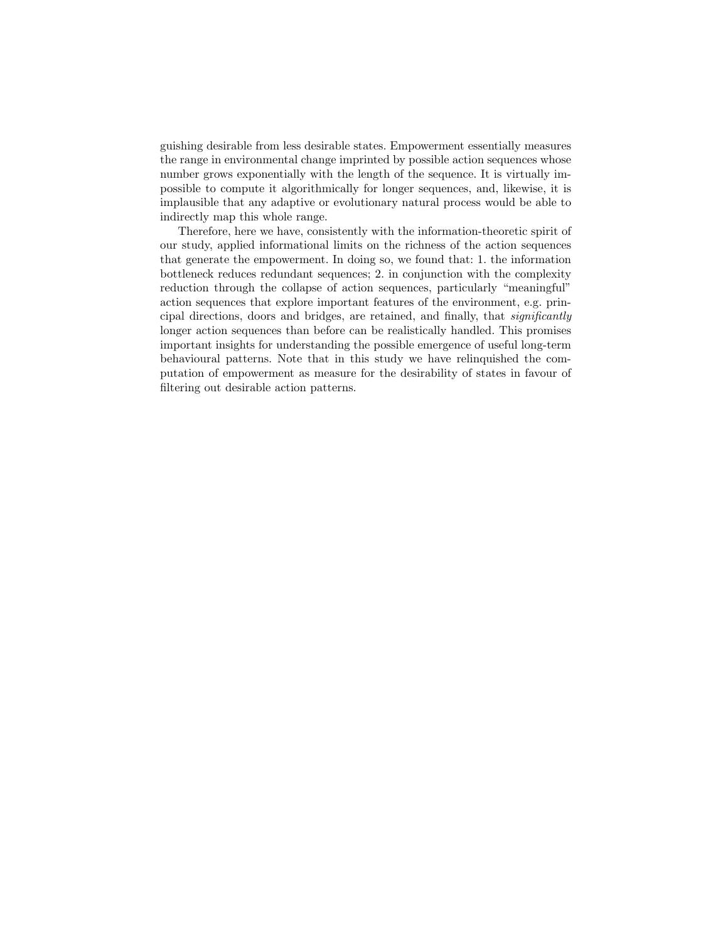guishing desirable from less desirable states. Empowerment essentially measures the range in environmental change imprinted by possible action sequences whose number grows exponentially with the length of the sequence. It is virtually impossible to compute it algorithmically for longer sequences, and, likewise, it is implausible that any adaptive or evolutionary natural process would be able to indirectly map this whole range.

Therefore, here we have, consistently with the information-theoretic spirit of our study, applied informational limits on the richness of the action sequences that generate the empowerment. In doing so, we found that: 1. the information bottleneck reduces redundant sequences; 2. in conjunction with the complexity reduction through the collapse of action sequences, particularly "meaningful" action sequences that explore important features of the environment, e.g. principal directions, doors and bridges, are retained, and finally, that significantly longer action sequences than before can be realistically handled. This promises important insights for understanding the possible emergence of useful long-term behavioural patterns. Note that in this study we have relinquished the computation of empowerment as measure for the desirability of states in favour of filtering out desirable action patterns.